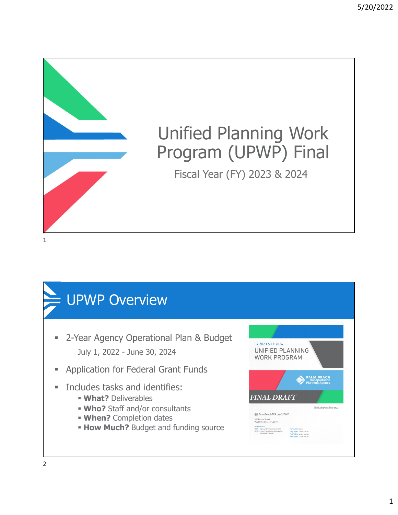

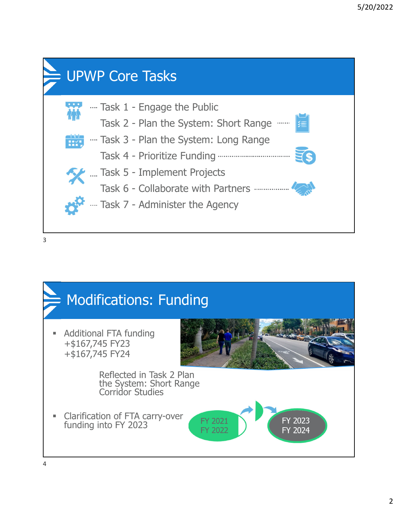

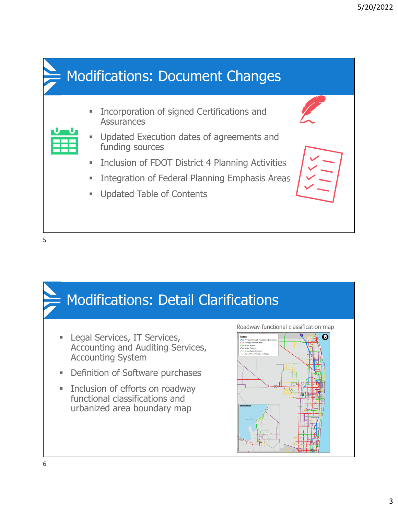

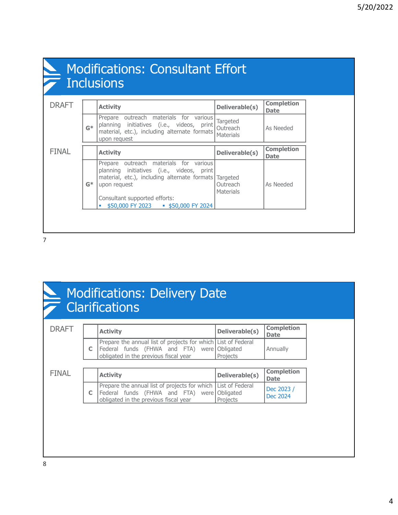| <b>Modifications: Consultant Effort</b><br>$\bar{\phantom{a}}$ Inclusions |       |                                                                                                                                                        |                                                 |                                  |
|---------------------------------------------------------------------------|-------|--------------------------------------------------------------------------------------------------------------------------------------------------------|-------------------------------------------------|----------------------------------|
| <b>DRAFT</b>                                                              |       | <b>Activity</b>                                                                                                                                        | Deliverable(s)                                  | <b>Completion</b><br><b>Date</b> |
|                                                                           | $G*$  | Prepare outreach materials for various<br>planning initiatives (i.e., videos, print<br>material, etc.), including alternate formats<br>upon request    | Targeted<br>Outreach<br>Materials               | As Needed                        |
| <b>FINAL</b>                                                              |       | <b>Activity</b>                                                                                                                                        | Deliverable(s)                                  | <b>Completion</b><br><b>Date</b> |
|                                                                           | $G^*$ | outreach materials for various<br>Prepare<br>planning initiatives (i.e., videos, print<br>material, etc.), including alternate formats<br>upon request | <b>Targeted</b><br>Outreach<br><b>Materials</b> | As Needed                        |

### Modifications: Delivery Date **Clarifications**

| <b>DRAFT</b> | <b>Activity</b>                                                                                                                               | Deliverable(s)        | <b>Completion</b><br><b>Date</b> |
|--------------|-----------------------------------------------------------------------------------------------------------------------------------------------|-----------------------|----------------------------------|
|              | Prepare the annual list of projects for which List of Federal<br>Federal funds (FHWA and FTA) were<br>obligated in the previous fiscal year   | Obligated<br>Projects | Annually                         |
|              |                                                                                                                                               |                       |                                  |
|              |                                                                                                                                               |                       |                                  |
| <b>FINAL</b> | <b>Activity</b>                                                                                                                               | Deliverable(s)        | <b>Completion</b><br><b>Date</b> |
|              | Prepare the annual list of projects for which   List of Federal<br>Federal funds (FHWA and FTA) were<br>obligated in the previous fiscal year | Obligated<br>Projects | Dec 2023 /<br>Dec 2024           |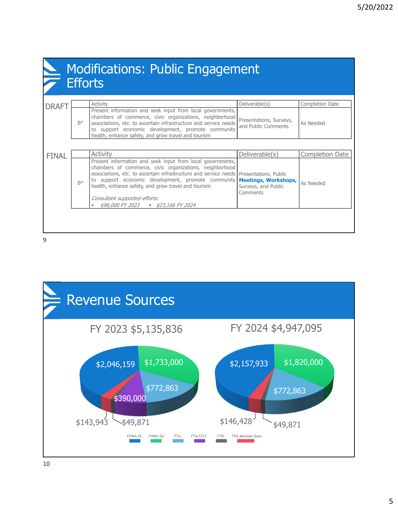|              |      | <b>Modifications: Public Engagement</b><br>$\overline{\mathcal{F}}$ Efforts                                                                                                                                                                                                                                                                                                                            |                                                                |                 |
|--------------|------|--------------------------------------------------------------------------------------------------------------------------------------------------------------------------------------------------------------------------------------------------------------------------------------------------------------------------------------------------------------------------------------------------------|----------------------------------------------------------------|-----------------|
| <b>DRAFT</b> |      | Activity                                                                                                                                                                                                                                                                                                                                                                                               | Deliverable(s)                                                 | Completion Date |
|              | $B*$ | Present information and seek input from local governments,<br>chambers of commerce, civic organizations, neighborhood<br>associations, etc. to ascertain infrastructure and service needs<br>to support economic development, promote community<br>health, enhance safety, and grow travel and tourism                                                                                                 | Presentations, Surveys,<br>and Public Comments                 | As Needed       |
| <b>FINAL</b> |      | <b>Activity</b>                                                                                                                                                                                                                                                                                                                                                                                        | Deliverable(s)                                                 | Completion Date |
|              | $R*$ | Present information and seek input from local governments,<br>chambers of commerce, civic organizations, neighborhood<br>associations, etc. to ascertain infrastructure and service needs   Presentations, Public<br>to support economic development, promote community<br>health, enhance safety, and grow travel and tourism<br>Consultant supported efforts:<br>\$98,000 FY 2023 - \$23,166 FY 2024 | <b>Meetings, Workshops,</b><br>Surveys, and Public<br>Comments | As Needed       |

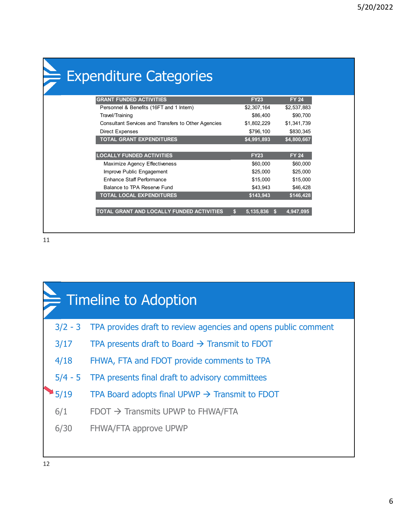| $\in$ Expenditure Categories                        |                 |              |
|-----------------------------------------------------|-----------------|--------------|
|                                                     |                 |              |
| <b>GRANT FUNDED ACTIVITIES</b>                      | <b>FY23</b>     | <b>FY 24</b> |
| Personnel & Benefits (16FT and 1 Intern)            | \$2,307,164     | \$2,537,883  |
| Travel/Training                                     | \$86,400        | \$90,700     |
| Consultant Services and Transfers to Other Agencies | \$1,802,229     | \$1,341,739  |
| <b>Direct Expenses</b>                              | \$796,100       | \$830,345    |
| <b>TOTAL GRANT EXPENDITURES</b>                     | \$4,991,893     | \$4,800,667  |
|                                                     |                 |              |
| <b>LOCALLY FUNDED ACTIVITIES</b>                    | <b>FY23</b>     | <b>FY 24</b> |
| Maximize Agency Effectiveness                       | \$60,000        | \$60,000     |
| Improve Public Engagement                           | \$25,000        | \$25,000     |
| Enhance Staff Performance                           | \$15,000        | \$15,000     |
| Balance to TPA Reserve Fund                         | \$43.943        | \$46,428     |
| <b>TOTAL LOCAL EXPENDITURES</b>                     | \$143,943       | \$146,428    |
|                                                     |                 |              |
| TOTAL GRANT AND LOCALLY FUNDED ACTIVITIES           | 5,135,836<br>S. | 4,947,095    |

| F Timeline to Adoption |                                                                |  |  |  |
|------------------------|----------------------------------------------------------------|--|--|--|
| $3/2 - 3$              | TPA provides draft to review agencies and opens public comment |  |  |  |
| 3/17                   | TPA presents draft to Board $\rightarrow$ Transmit to FDOT     |  |  |  |
| 4/18                   | FHWA, FTA and FDOT provide comments to TPA                     |  |  |  |
| $5/4 - 5$              | TPA presents final draft to advisory committees                |  |  |  |
| 5/19                   | TPA Board adopts final UPWP $\rightarrow$ Transmit to FDOT     |  |  |  |
| 6/1                    | $F$ DOT $\rightarrow$ Transmits UPWP to FHWA/FTA               |  |  |  |
| 6/30                   | <b>FHWA/FTA approve UPWP</b>                                   |  |  |  |
|                        |                                                                |  |  |  |